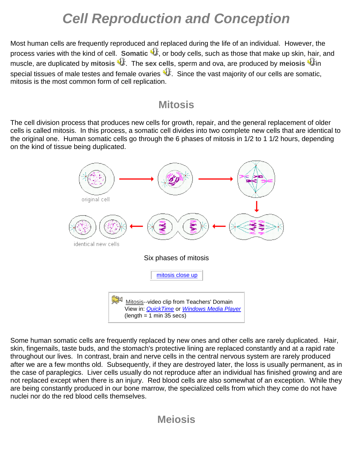# *Cell Reproduction and Conception*

Most human cells are frequently reproduced and replaced during the life of an individual. However, the process varies with the kind of cell. **Somatic U**, or body cells, such as those that make up skin, hair, and **muscle, are dupl[i](http://anthro.palomar.edu/biobasis/sounds/meiosis.mp3)cated by mitosis**  $\mathbf{\hat{u}}$ [.](http://anthro.palomar.edu/biobasis/sounds/mitosis.mp3) The sex cells, sperm and ova, are produced by meiosis  $\mathbf{\hat{u}}$ in special tissues of male testes and female ovaries  $\mathfrak{A}$ . Since the vast majority of our cells are somatic, mitosis is the most common form of cell replication.

### **Mitosis**

The cell division process that produces new cells for growth, repair, and the general replacement of older cells is called mitosis. In this process, a somatic cell divides into two complete new cells that are identical to the original one. Human somatic cells go through the 6 phases of mitosis in 1/2 to 1 1/2 hours, depending on the kind of tissue being duplicated.



Some human somatic cells are frequently replaced by new ones and other cells are rarely duplicated. Hair, skin, fingernails, taste buds, and the stomach's protective lining are replaced constantly and at a rapid rate throughout our lives. In contrast, brain and nerve cells in the central nervous system are rarely produced after we are a few months old. Subsequently, if they are destroyed later, the loss is usually permanent, as in the case of paraplegics. Liver cells usually do not reproduce after an individual has finished growing and are not replaced except when there is an injury. Red blood cells are also somewhat of an exception. While they are being constantly produced in our bone marrow, the specialized cells from which they come do not have nuclei nor do the red blood cells themselves.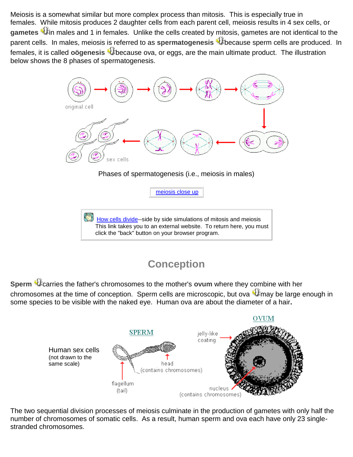Meiosis is a somewhat similar but more complex process than mitosis. This is especially true in females. [Wh](http://anthro.palomar.edu/biobasis/sounds/gametes.mp3)ile mitosis produces 2 daughter cells from each parent cell, meiosis results in 4 sex cells, or gametes <sup>at f</sup>in males and 1 in females. Unlike the cells created by mitosis, gametes are not identical to the parent cells. In males, meiosis is referred to as spermatogenesis <sup>4</sup>thecause sperm cells are produced. In females, it is called **oögenesis** Uthecause ova, or eggs, are the main ultimate product. The illustration below shows the 8 phases of spermatogenesis.



This link takes you to an external website. To return here, you must click the "back" button on your browser program.

# **Conception**

**Sperm** *C* [c](http://anthro.palomar.edu/biobasis/sounds/sperm.mp3)arries the father's chromosomes to the mother's ovum where they combine with her chro[m](http://anthro.palomar.edu/biobasis/sounds/ova.mp3)osomes at the time of conception. Sperm cells are microscopic, but ova  $\mathbf{\hat{u}}$  may be large enough in some species to be visible with the naked eye. Human ova are about the diameter of a hair**.**



The two sequential division processes of meiosis culminate in the production of gametes with only half the number of chromosomes of somatic cells. As a result, human sperm and ova each have only 23 singlestranded chromosomes.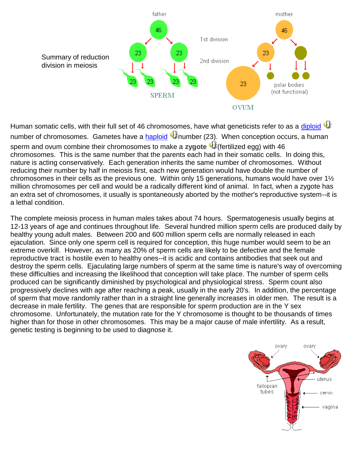

Human somatic cells, with their full set of 46 chromosomes, have what geneticists refer to as a [diploid](http://anthro.palomar.edu/biobasis/glossary.htm#diploid_number)  $\mathfrak{A}^*$ number of chromosomes. Gametes have a [haploid](http://anthro.palomar.edu/biobasis/glossary.htm#haploid_number) <sup>aff</sup>inumber (23). When conception occurs, a human sperm and ovum combine their chromosomes to make a **zygote** (fertilized egg) with 46 chromosomes. This is the same number that the parents each had in their somatic cells. In doing this, nature is acting conservatively. Each generation inherits the same number of chromosomes. Without reducing their number by half in meiosis first, each new generation would have double the number of chromosomes in their cells as the previous one. Within only 15 generations, humans would have over 1½ million chromosomes per cell and would be a radically different kind of animal. In fact, when a zygote has an extra set of chromosomes, it usually is spontaneously aborted by the mother's reproductive system--it is a lethal condition.

The complete meiosis process in human males takes about 74 hours. Spermatogenesis usually begins at 12-13 years of age and continues throughout life. Several hundred million sperm cells are produced daily by healthy young adult males. Between 200 and 600 million sperm cells are normally released in each ejaculation. Since only one sperm cell is required for conception, this huge number would seem to be an extreme overkill. However, as many as 20% of sperm cells are likely to be defective and the female reproductive tract is hostile even to healthy ones--it is acidic and contains antibodies that seek out and destroy the sperm cells. Ejaculating large numbers of sperm at the same time is nature's way of overcoming these difficulties and increasing the likelihood that conception will take place. The number of sperm cells produced can be significantly diminished by psychological and physiological stress. Sperm count also progressively declines with age after reaching a peak, usually in the early 20's. In addition, the percentage of sperm that move randomly rather than in a straight line generally increases in older men. The result is a decrease in male fertility. The genes that are responsible for sperm production are in the Y sex chromosome. Unfortunately, the mutation rate for the Y chromosome is thought to be thousands of times higher than for those in other chromosomes. This may be a major cause of male infertility. As a result, genetic testing is beginning to be used to diagnose it.

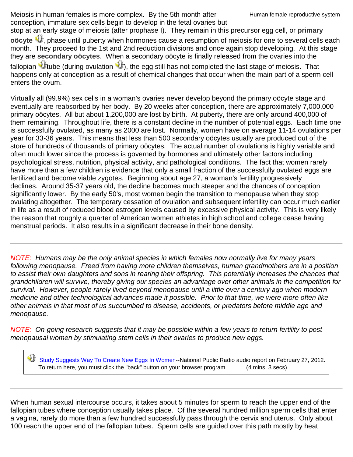Meiosis in human females is more complex. By the 5th month after conception, immature sex cells begin to develop in the fetal ovaries but

stop at an early stage of meiosis (after prophase I). They remain in this precursor egg cell, or **primary**  oöcyte <sup>4</sup>. phase until puberty when hormones cause a resumption of meiosis for one to several cells each month. They proceed to the 1st and 2nd reduction divisions and once again stop developing. At this stage they are **secondary oöcytes**. When a secondary oöcyte is finally released from the ovaries into the fallopian $\P$  tube (during ovulation  $\P$ [\)](http://anthro.palomar.edu/biobasis/sounds/ovulation.mp3), the egg still has not completed the last stage of meiosis. That happens only at conception as a result of chemical changes that occur when the main part of a sperm cell enters the ovum.

Virtually all (99.9%) sex cells in a woman's ovaries never develop beyond the primary oöcyte stage and eventually are reabsorbed by her body. By 20 weeks after conception, there are approximately 7,000,000 primary oöcytes. All but about 1,200,000 are lost by birth. At puberty, there are only around 400,000 of them remaining. Throughout life, there is a constant decline in the number of potential eggs. Each time one is successfully ovulated, as many as 2000 are lost. Normally, women have on average 11-14 ovulations per year for 33-36 years. This means that less than 500 secondary oöcytes usually are produced out of the store of hundreds of thousands of primary oöcytes. The actual number of ovulations is highly variable and often much lower since the process is governed by hormones and ultimately other factors including psychological stress, nutrition, physical activity, and pathological conditions. The fact that women rarely have more than a few children is evidence that only a small fraction of the successfully ovulated eggs are fertilized and become viable zygotes. Beginning about age 27, a woman's fertility progressively declines. Around 35-37 years old, the decline becomes much steeper and the chances of conception significantly lower. By the early 50's, most women begin the transition to menopause when they stop ovulating altogether. The temporary cessation of ovulation and subsequent infertility can occur much earlier in life as a result of reduced blood estrogen levels caused by excessive physical activity. This is very likely the reason that roughly a quarter of American women athletes in high school and college cease having menstrual periods. It also results in a significant decrease in their bone density.

*NOTE: Humans may be the only animal species in which females now normally live for many years following menopause. Freed from having more children themselves, human grandmothers are in a position to assist their own daughters and sons in rearing their offspring. This potentially increases the chances that grandchildren will survive, thereby giving our species an advantage over other animals in the competition for survival. However, people rarely lived beyond menopause until a little over a century ago when modern medicine and other technological advances made it possible. Prior to that time, we were more often like other animals in that most of us succumbed to disease, accidents, or predators before middle age and menopause.*

*NOTE: On-going research suggests that it may be possible within a few years to return fertility to post menopausal women by stimulating stem cells in their ovaries to produce new eggs.*

[Study Suggests Way To Create New Eggs In Women-](http://www.npr.org/blogs/health/2012/02/27/147344258/study-suggests-way-to-create-new-eggs-in-women?ft=3&f=122101520&sc=nl&cc=sh-20120303)-National Public Radio audio report on February 27, 2012. To return here, you must click the "back" button on your browser program. (4 mins, 3 secs)

When human sexual intercourse occurs, it takes about 5 minutes for sperm to reach the upper end of the fallopian tubes where conception usually takes place. Of the several hundred million sperm cells that enter a vagina, rarely do more than a few hundred successfully pass through the cervix and uterus. Only about 100 reach the upper end of the fallopian tubes. Sperm cells are guided over this path mostly by heat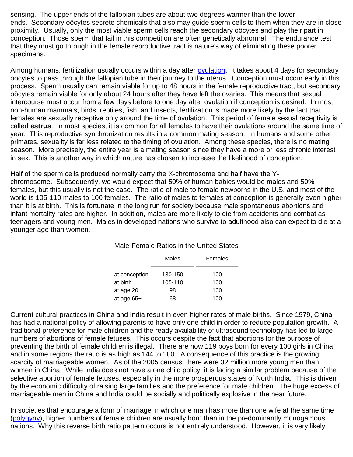sensing. The upper ends of the fallopian tubes are about two degrees warmer than the lower ends. Secondary oöcytes secrete chemicals that also may guide sperm cells to them when they are in close proximity. Usually, only the most viable sperm cells reach the secondary oöcytes and play their part in conception. Those sperm that fail in this competition are often genetically abnormal. The endurance test that they must go through in the female reproductive tract is nature's way of eliminating these poorer specimens.

Among humans, fertilization usually occurs within a day after [ovulation.](http://anthro.palomar.edu/biobasis/glossary.htm#ovulation) It takes about 4 days for secondary oöcytes to pass through the fallopian tube in their journey to the uterus. Conception must occur early in this process. Sperm usually can remain viable for up to 48 hours in the female reproductive tract, but secondary oöcytes remain viable for only about 24 hours after they have left the ovaries. This means that sexual intercourse must occur from a few days before to one day after ovulation if conception is desired. In most non-human mammals, birds, reptiles, fish, and insects, fertilization is made more likely by the fact that females are sexually receptive only around the time of ovulation. This period of female sexual receptivity is called **estrus**. In most species, it is common for all females to have their ovulations around the same time of year. This reproductive synchronization results in a common mating season. In humans and some other primates, sexuality is far less related to the timing of ovulation. Among these species, there is no mating season. More precisely, the entire year is a mating season since they have a more or less chronic interest in sex. This is another way in which nature has chosen to increase the likelihood of conception.

Half of the sperm cells produced normally carry the X-chromosome and half have the Ychromosome. Subsequently, we would expect that 50% of human babies would be males and 50% females, but this usually is not the case. The ratio of male to female newborns in the U.S. and most of the world is 105-110 males to 100 females. The ratio of males to females at conception is generally even higher than it is at birth. This is fortunate in the long run for society because male spontaneous abortions and infant mortality rates are higher. In addition, males are more likely to die from accidents and combat as teenagers and young men. Males in developed nations who survive to adulthood also can expect to die at a younger age than women.

|               | Males   | Females |
|---------------|---------|---------|
| at conception | 130-150 | 100     |
| at birth      | 105-110 | 100     |
| at age 20     | 98      | 100     |
| at age $65+$  | 68      | 100     |

#### Male-Female Ratios in the United States

Current cultural practices in China and India result in even higher rates of male births. Since 1979, China has had a national policy of allowing parents to have only one child in order to reduce population growth. A traditional preference for male children and the ready availability of ultrasound technology has led to large numbers of abortions of female fetuses. This occurs despite the fact that abortions for the purpose of preventing the birth of female children is illegal. There are now 119 boys born for every 100 girls in China, and in some regions the ratio is as high as 144 to 100. A consequence of this practice is the growing scarcity of marriageable women. As of the 2005 census, there were 32 million more young men than women in China. While India does not have a one child policy, it is facing a similar problem because of the selective abortion of female fetuses, especially in the more prosperous states of North India. This is driven by the economic difficulty of raising large families and the preference for male children. The huge excess of marriageable men in China and India could be socially and politically explosive in the near future.

In societies that encourage a form of marriage in which one man has more than one wife at the same time [\(polygyny\)](http://anthro.palomar.edu/biobasis/glossary.htm#polygyny), higher numbers of female children are usually born than in the predominantly monogamous nations. Why this reverse birth ratio pattern occurs is not entirely understood. However, it is very likely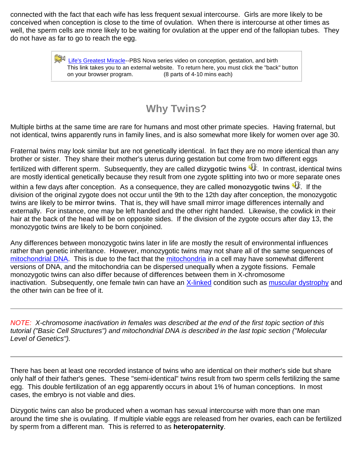connected with the fact that each wife has less frequent sexual intercourse. Girls are more likely to be conceived when conception is close to the time of ovulation. When there is intercourse at other times as well, the sperm cells are more likely to be waiting for ovulation at the upper end of the fallopian tubes. They do not have as far to go to reach the egg.

> $\mathbb{H}^1$  [Life's Greatest Miracle-](http://www.pbs.org/wgbh/nova/miracle/program.html)-PBS Nova series video on conception, gestation, and birth This link takes you to an external website. To return here, you must click the "back" button on your browser program. (8 parts of 4-10 mins each)

## **Why Twins?**

Multiple births at the same time are rare for humans and most other primate species. Having fraternal, but not identical, twins apparently runs in family lines, and is also somewhat more likely for women over age 30.

Fraternal twins may look similar but are not genetically identical. In fact they are no more identical than any brother or sister. They share their mother's uterus during gestation but come from two different eggs fertilized with different sperm. Subsequently, they are called **dizygotic twins** [.](http://anthro.palomar.edu/biobasis/sounds/dizygotic_twins.mp3) In contrast, identical twins are mostly identical genetically because they result from one zygote splitting into two or more separate ones within a few days after conception. As a consequence, they are called **monozygotic twins U**. If the division of the original zygote does not occur until the 9th to the 12th day after conception, the monozygotic twins are likely to be **mirror twins**. That is, they will have small mirror image differences internally and externally. For instance, one may be left handed and the other right handed. Likewise, the cowlick in their hair at the back of the head will be on opposite sides. If the division of the zygote occurs after day 13, the monozygotic twins are likely to be born conjoined.

Any differences between monozygotic twins later in life are mostly the result of environmental influences rather than genetic inheritance. However, monozygotic twins may not share all of the same sequences of [mitochondrial DNA.](http://anthro.palomar.edu/biobasis/glossary.htm#mitochondrial_DNA) This is due to the fact that the [mitochondria](http://anthro.palomar.edu/biobasis/glossary.htm#mitochondria) in a cell may have somewhat different versions of DNA, and the mitochondria can be dispersed unequally when a zygote fissions. Female monozygotic twins can also differ because of differences between them in X-chromosome inactivation. Subsequently, one female twin can have an [X-linked](http://anthro.palomar.edu/biobasis/glossary.htm#X-linked) condition such as [muscular dystrophy](http://anthro.palomar.edu/biobasis/glossary.htm#muscular_dystrophy) and the other twin can be free of it.

*NOTE: X-chromosome inactivation in females was described at the end of the first topic section of this tutorial ("Basic Cell Structures") and mitochondrial DNA is described in the last topic section ("Molecular Level of Genetics").*

There has been at least one recorded instance of twins who are identical on their mother's side but share only half of their father's genes. These "semi-identical" twins result from two sperm cells fertilizing the same egg. This double fertilization of an egg apparently occurs in about 1% of human conceptions. In most cases, the embryo is not viable and dies.

Dizygotic twins can also be produced when a woman has sexual intercourse with more than one man around the time she is ovulating. If multiple viable eggs are released from her ovaries, each can be fertilized by sperm from a different man. This is referred to as **heteropaternity**.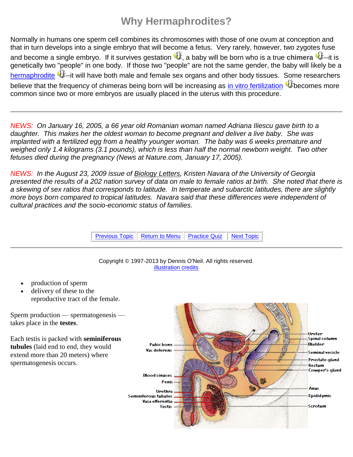# **Why Hermaphrodites?**

Normally in humans one sperm cell combines its chromosomes with those of one ovum at conception and that in turn develops into a single embryo that will become a fetus. Very rarely, however, two zygotes fuse and become a single embryo. If it survives gestation  $\Psi$ [,](http://anthro.palomar.edu/biobasis/sounds/gestation.mp3) a baby will be born who is a true **chimera**  $\Psi$ [-](http://anthro.palomar.edu/biobasis/sounds/chimera.mp3)-it is genetically two "people" in one body. If those two "people" are not the same gender, the baby will likely be a [hermaphrodite](http://anthro.palomar.edu/biobasis/glossary.htm#hermaphrodite)  $\P$ .[-](http://anthro.palomar.edu/biobasis/sounds/hermaphrodite.mp3)it will have both male and female sex organs and other body tissues. Some researchers believe that the frequency of chimeras being born will be increasing as [in vitro fertilization](http://anthro.palomar.edu/biobasis/glossary.htm#in_vitro_fertilization) <sup>aff</sup>becomes more common since two or more embryos are usually placed in the uterus with this procedure.

*NEWS: On January 16, 2005, a 66 year old Romanian woman named Adriana Iliescu gave birth to a daughter. This makes her the oldest woman to become pregnant and deliver a live baby. She was implanted with a fertilized egg from a healthy younger woman. The baby was 6 weeks premature and weighed only 1.4 kilograms (3.1 pounds), which is less than half the normal newborn weight. Two other fetuses died during the pregnancy (News at Nature.com, January 17, 2005).*

*NEWS: In the August 23, 2009 issue of Biology Letters, Kristen Navara of the University of Georgia presented the results of a 202 nation survey of data on male to female ratios at birth. She noted that there is a skewing of sex ratios that corresponds to latitude. In temperate and subarctic latitudes, there are slightly more boys born compared to tropical latitudes. Navara said that these differences were independent of cultural practices and the socio-economic status of families.*

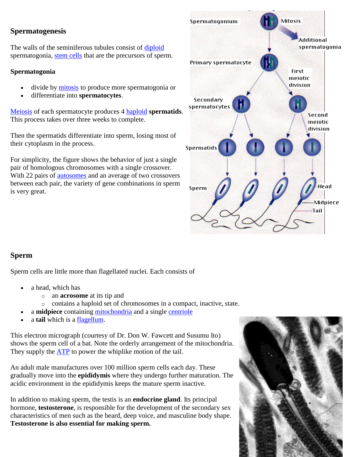#### **Spermatogenesis**

The walls of the seminiferous tubules consist of [diploid](http://users.rcn.com/jkimball.ma.ultranet/BiologyPages/D/D.html#diploid) spermatogonia, [stem cells](http://users.rcn.com/jkimball.ma.ultranet/BiologyPages/S/S.html#stem_cell) that are the precursors of sperm.

#### **Spermatogonia**

- divide by [mitosis](http://users.rcn.com/jkimball.ma.ultranet/BiologyPages/M/Mitosis.html) to produce more spermatogonia or
- differentiate into **spermatocytes**.

[Meiosis](http://users.rcn.com/jkimball.ma.ultranet/BiologyPages/M/Meiosis.html) of each spermatocyte produces 4 [haploid](http://users.rcn.com/jkimball.ma.ultranet/BiologyPages/H/H.html#haploid) **spermatids**. This process takes over three weeks to complete.

Then the spermatids differentiate into sperm, losing most of their cytoplasm in the process.

For simplicity, the figure shows the behavior of just a single pair of homologous chromosomes with a single crossover. With 22 pairs of [autosomes](http://users.rcn.com/jkimball.ma.ultranet/BiologyPages/A/A.html#autosome) and an average of two crossovers between each pair, the variety of gene combinations in sperm is very great.



#### **Sperm**

Sperm cells are little more than flagellated nuclei. Each consists of

- a head, which has
	- o an **acrosome** at its tip and
	- o contains a haploid set of chromosomes in a compact, inactive, state.
- a **midpiece** containing [mitochondria](http://users.rcn.com/jkimball.ma.ultranet/BiologyPages/C/CellularRespiration.html) and a single [centriole](http://users.rcn.com/jkimball.ma.ultranet/BiologyPages/C/Centrioles.html#centrioles)
- a **tail** which is a [flagellum.](http://users.rcn.com/jkimball.ma.ultranet/BiologyPages/C/Cilia.html)

This electron micrograph (courtesy of Dr. Don W. Fawcett and Susumu Ito) shows the sperm cell of a bat. Note the orderly arrangement of the mitochondria. They supply the [ATP](http://users.rcn.com/jkimball.ma.ultranet/BiologyPages/A/ATP.html) to power the whiplike motion of the tail.

An adult male manufactures over 100 million sperm cells each day. These gradually move into the **epididymis** where they undergo further maturation. The acidic environment in the epididymis keeps the mature sperm inactive.

In addition to making sperm, the testis is an **endocrine gland**. Its principal hormone, **testosterone**, is responsible for the development of the secondary sex characteristics of men such as the beard, deep voice, and masculine body shape. **Testosterone is also essential for making sperm.**

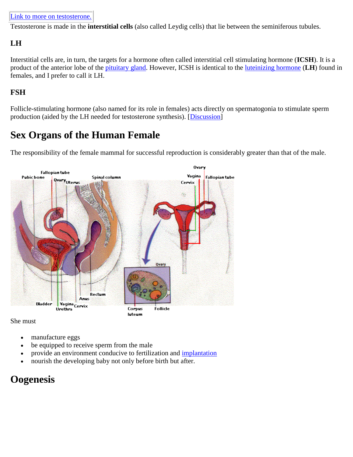Testosterone is made in the **interstitial cells** (also called Leydig cells) that lie between the seminiferous tubules.

### **LH**

Interstitial cells are, in turn, the targets for a hormone often called interstitial cell stimulating hormone (**ICSH**). It is a product of the anterior lobe of the [pituitary gland.](http://users.rcn.com/jkimball.ma.ultranet/BiologyPages/P/Pituitary.html) However, ICSH is identical to the [luteinizing hormone](http://users.rcn.com/jkimball.ma.ultranet/BiologyPages/P/Pituitary.html#LH) (**LH**) found in females, and I prefer to call it LH.

#### **FSH**

Follicle-stimulating hormone (also named for its role in females) acts directly on spermatogonia to stimulate sperm production (aided by the LH needed for testosterone synthesis). [\[Discussion\]](http://users.rcn.com/jkimball.ma.ultranet/BiologyPages/P/Pituitary.html#FSH)

### **Sex Organs of the Human Female**

The responsibility of the female mammal for successful reproduction is considerably greater than that of the male.



She must

- manufacture eggs
- be equipped to receive sperm from the male
- provide an environment conducive to fertilization and [implantation](http://users.rcn.com/jkimball.ma.ultranet/BiologyPages/S/Sexual_Reproduction.html#Pregnancy)
- nourish the developing baby not only before birth but after.

### **Oogenesis**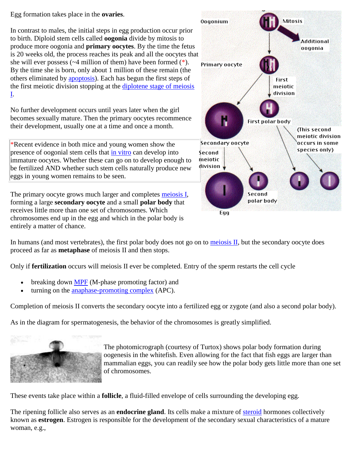Egg formation takes place in the **ovaries**.

In contrast to males, the initial steps in egg production occur prior to birth. Diploid stem cells called **oogonia** divide by mitosis to produce more oogonia and **primary oocytes**. By the time the fetus is 20 weeks old, the process reaches its peak and all the oocytes that she will ever possess  $(\sim 4$  million of them) have been formed  $(*)$ . By the time she is born, only about 1 million of these remain (the others eliminated by [apoptosis\)](http://users.rcn.com/jkimball.ma.ultranet/BiologyPages/A/Apoptosis.html). Each has begun the first steps of the first meiotic division stopping at the [diplotene stage of meiosis](http://users.rcn.com/jkimball.ma.ultranet/BiologyPages/M/Meiosis.html#diplotene)  [I.](http://users.rcn.com/jkimball.ma.ultranet/BiologyPages/M/Meiosis.html#diplotene)

No further development occurs until years later when the girl becomes sexually mature. Then the primary oocytes recommence their development, usually one at a time and once a month.

\*Recent evidence in both mice and young women show the presence of oogonial stem cells that [in vitro](http://users.rcn.com/jkimball.ma.ultranet/BiologyPages/I/I.html#in_vitro) can develop into immature oocytes. Whether these can go on to develop enough to be fertilized AND whether such stem cells naturally produce new eggs in young women remains to be seen.

The primary oocyte grows much larger and completes [meiosis I,](http://users.rcn.com/jkimball.ma.ultranet/BiologyPages/M/Meiosis.html#meiosis_I) forming a large **secondary oocyte** and a small **polar body** that receives little more than one set of chromosomes. Which chromosomes end up in the egg and which in the polar body is entirely a matter of chance.



In humans (and most vertebrates), the first polar body does not go on to meiosis  $II$ , but the secondary oocyte does proceed as far as **metaphase** of meiosis II and then stops.

Only if **fertilization** occurs will meiosis II ever be completed. Entry of the sperm restarts the cell cycle

- breaking down [MPF](http://users.rcn.com/jkimball.ma.ultranet/BiologyPages/C/CellCycle.html#Control_of_the_Cell_Cycle) (M-phase promoting factor) and
- turning on the [anaphase-promoting complex](http://users.rcn.com/jkimball.ma.ultranet/BiologyPages/C/CellCycle.html#Control_of_the_Cell_Cycle) (APC).

Completion of meiosis II converts the secondary oocyte into a fertilized egg or zygote (and also a second polar body).

As in the diagram for spermatogenesis, the behavior of the chromosomes is greatly simplified.



The photomicrograph (courtesy of Turtox) shows polar body formation during oogenesis in the whitefish. Even allowing for the fact that fish eggs are larger than mammalian eggs, you can readily see how the polar body gets little more than one set of chromosomes.

These events take place within a **follicle**, a fluid-filled envelope of cells surrounding the developing egg.

The ripening follicle also serves as an **endocrine gland**. Its cells make a mixture of [steroid](http://users.rcn.com/jkimball.ma.ultranet/BiologyPages/S/S.html#steroid) hormones collectively known as **estrogen**. Estrogen is responsible for the development of the secondary sexual characteristics of a mature woman, e.g.,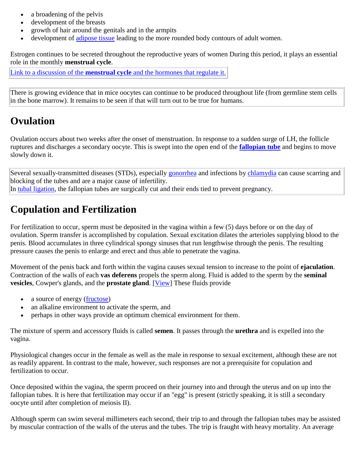- a broadening of the pelvis
- development of the breasts
- growth of hair around the genitals and in the armpits
- development of [adipose tissue](http://users.rcn.com/jkimball.ma.ultranet/BiologyPages/A/AnimalTissues.html#AdiposeTissue) leading to the more rounded body contours of adult women.

Estrogen continues to be secreted throughout the reproductive years of women During this period, it plays an essential role in the monthly **menstrual cycle**.

Link to a discussion of the **menstrual cycle** [and the hormones that regulate it.](http://users.rcn.com/jkimball.ma.ultranet/BiologyPages/S/SexHormones.html#menstrual)

There is growing evidence that in mice oocytes can continue to be produced throughout life (from germline stem cells in the bone marrow). It remains to be seen if that will turn out to be true for humans.

### **Ovulation**

Ovulation occurs about two weeks after the onset of menstruation. In response to a sudden surge of LH, the follicle ruptures and discharges a secondary oocyte. This is swept into the open end of the **[fallopian tube](http://users.rcn.com/jkimball.ma.ultranet/BiologyPages/S/Sexual_Reproduction.html#Sex_Organs_of_the_Human_Female)** and begins to move slowly down it.

Several sexually-transmitted diseases (STDs), especially [gonorrhea](http://users.rcn.com/jkimball.ma.ultranet/BiologyPages/E/Eubacteria.html#Gram_Negative_Cocci) and infections by [chlamydia](http://users.rcn.com/jkimball.ma.ultranet/BiologyPages/E/Eubacteria.html#Chlamydiae) can cause scarring and blocking of the tubes and are a major cause of infertility. In [tubal ligation,](http://users.rcn.com/jkimball.ma.ultranet/BiologyPages/B/BirthControl.html#Sterilization) the fallopian tubes are surgically cut and their ends tied to prevent pregnancy.

### **Copulation and Fertilization**

For fertilization to occur, sperm must be deposited in the vagina within a few (5) days before or on the day of ovulation. Sperm transfer is accomplished by copulation. Sexual excitation dilates the arterioles supplying blood to the penis. Blood accumulates in three cylindrical spongy sinuses that run lengthwise through the penis. The resulting pressure causes the penis to enlarge and erect and thus able to penetrate the vagina.

Movement of the penis back and forth within the vagina causes sexual tension to increase to the point of **ejaculation**. Contraction of the walls of each **vas deferens** propels the sperm along. Fluid is added to the sperm by the **seminal vesicles**, Cowper's glands, and the **prostate gland**. [\[View\]](http://users.rcn.com/jkimball.ma.ultranet/BiologyPages/S/Sexual_Reproduction.html#Sex_Organs_of_the_Human_Male) These fluids provide

- a source of energy [\(fructose\)](http://users.rcn.com/jkimball.ma.ultranet/BiologyPages/C/Carbohydrates.html)
- an alkaline environment to activate the sperm, and
- perhaps in other ways provide an optimum chemical environment for them.

The mixture of sperm and accessory fluids is called **semen**. It passes through the **urethra** and is expelled into the vagina.

Physiological changes occur in the female as well as the male in response to sexual excitement, although these are not as readily apparent. In contrast to the male, however, such responses are not a prerequisite for copulation and fertilization to occur.

Once deposited within the vagina, the sperm proceed on their journey into and through the uterus and on up into the fallopian tubes. It is here that fertilization may occur if an "egg" is present (strictly speaking, it is still a secondary oocyte until after completion of meiosis II).

Although sperm can swim several millimeters each second, their trip to and through the fallopian tubes may be assisted by muscular contraction of the walls of the uterus and the tubes. The trip is fraught with heavy mortality. An average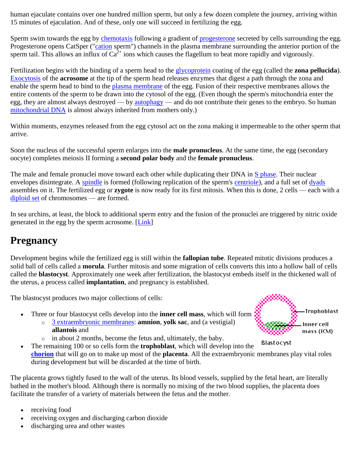human ejaculate contains over one hundred million sperm, but only a few dozen complete the journey, arriving within 15 minutes of ejaculation. And of these, only one will succeed in fertilizing the egg.

Sperm swim towards the egg by [chemotaxis](http://users.rcn.com/jkimball.ma.ultranet/BiologyPages/T/Taxes.html#Chemotaxis) following a gradient of [progesterone](http://users.rcn.com/jkimball.ma.ultranet/BiologyPages/P/Progesterone.html) secreted by cells surrounding the egg. Progesterone opens CatSper (["cation](http://users.rcn.com/jkimball.ma.ultranet/BiologyPages/D/Diffusion.html#Two_problems_to_be_considered:) sperm") channels in the plasma membrane surrounding the anterior portion of the sperm tail. This allows an influx of  $Ca^{2+}$  ions which causes the flagellum to beat more rapidly and vigorously.

Fertilization begins with the binding of a sperm head to the [glycoprotein](http://users.rcn.com/jkimball.ma.ultranet/BiologyPages/G/Glycoproteins.html) coating of the egg (called the **zona pellucida**). [Exocytosis](http://users.rcn.com/jkimball.ma.ultranet/BiologyPages/E/Exocytosis.html) of the **acrosome** at the tip of the sperm head releases enzymes that digest a path through the zona and enable the sperm head to bind to the [plasma membrane](http://users.rcn.com/jkimball.ma.ultranet/BiologyPages/C/CellMembranes.html) of the egg. Fusion of their respective membranes allows the entire contents of the sperm to be drawn into the cytosol of the egg. (Even though the sperm's mitochondria enter the egg, they are almost always destroyed — by [autophagy](http://users.rcn.com/jkimball.ma.ultranet/BiologyPages/A/Autophagy.html) — and do not contribute their genes to the embryo. So human [mitochondrial DNA](http://users.rcn.com/jkimball.ma.ultranet/BiologyPages/C/CellularRespiration.html#mtdna) is almost always inherited from mothers only.)

Within moments, enzymes released from the egg cytosol act on the zona making it impermeable to the other sperm that arrive.

Soon the nucleus of the successful sperm enlarges into the **male pronucleus**. At the same time, the egg (secondary oocyte) completes meiosis II forming a **second polar body** and the **female pronucleus**.

The male and female pronuclei move toward each other while duplicating their DNA in [S phase.](http://users.rcn.com/jkimball.ma.ultranet/BiologyPages/C/CellCycle.html) Their nuclear envelopes disintegrate. A [spindle](http://users.rcn.com/jkimball.ma.ultranet/BiologyPages/C/Centrioles.html#centrosome) is formed (following replication of the sperm's [centriole\)](http://users.rcn.com/jkimball.ma.ultranet/BiologyPages/C/Centrioles.html#centrioles), and a full set of [dyads](http://users.rcn.com/jkimball.ma.ultranet/BiologyPages/C/Chromosomes.html) assembles on it. The fertilized egg or **zygote** is now ready for its first mitosis. When this is done, 2 cells — each with a [diploid set](http://users.rcn.com/jkimball.ma.ultranet/BiologyPages/C/Chromosomes.html#diploid) of chromosomes — are formed.

In sea urchins, at least, the block to additional sperm entry and the fusion of the pronuclei are triggered by nitric oxide generated in the egg by the sperm acrosome. [\[Link\]](http://users.rcn.com/jkimball.ma.ultranet/BiologyPages/N/NO.html#fertilization)

### **Pregnancy**

Development begins while the fertilized egg is still within the **fallopian tube**. Repeated mitotic divisions produces a solid ball of cells called a **morula**. Further mitosis and some migration of cells converts this into a hollow ball of cells called the **blastocyst**. Approximately one week after fertilization, the blastocyst embeds itself in the thickened wall of the uterus, a process called **implantation**, and pregnancy is established.

The blastocyst produces two major collections of cells:

- Three or four blastocyst cells develop into the **inner cell mass**, which will form
	- o [3 extraembryonic membranes:](http://users.rcn.com/jkimball.ma.ultranet/BiologyPages/E/ExtraembryonicMembranes.html) **amnion**, **yolk sac**, and (a vestigial) **allantois** and
	- o in about 2 months, become the fetus and, ultimately, the baby.
- **Blastocyst**  The remaining 100 or so cells form the **trophoblast**, which will develop into the **[chorion](http://users.rcn.com/jkimball.ma.ultranet/BiologyPages/E/ExtraembryonicMembranes.html)** that will go on to make up most of the **placenta**. All the extraembryonic membranes play vital roles during development but will be discarded at the time of birth.

The placenta grows tightly fused to the wall of the uterus. Its blood vessels, supplied by the fetal heart, are literally bathed in the mother's blood. Although there is normally no mixing of the two blood supplies, the placenta does facilitate the transfer of a variety of materials between the fetus and the mother.

- receiving food
- receiving oxygen and discharging carbon dioxide
- discharging urea and other wastes

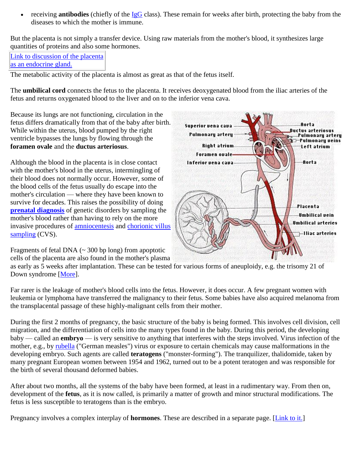receiving **antibodies** (chiefly of the [IgG](http://users.rcn.com/jkimball.ma.ultranet/BiologyPages/A/AntigenReceptors.html#why_5) class). These remain for weeks after birth, protecting the baby from the diseases to which the mother is immune.

But the placenta is not simply a transfer device. Using raw materials from the mother's blood, it synthesizes large quantities of proteins and also some hormones.

[Link to discussion of the placenta](http://users.rcn.com/jkimball.ma.ultranet/BiologyPages/S/SexHormones.html#pregnancy)  [as an endocrine gland.](http://users.rcn.com/jkimball.ma.ultranet/BiologyPages/S/SexHormones.html#pregnancy)

The metabolic activity of the placenta is almost as great as that of the fetus itself.

The **umbilical cord** connects the fetus to the placenta. It receives deoxygenated blood from the iliac arteries of the fetus and returns oxygenated blood to the liver and on to the inferior vena cava.

Because its lungs are not functioning, circulation in the fetus differs dramatically from that of the baby after birth. While within the uterus, blood pumped by the right ventricle bypasses the lungs by flowing through the **foramen ovale** and the **ductus arteriosus**.

Although the blood in the placenta is in close contact with the mother's blood in the uterus, intermingling of their blood does not normally occur. However, some of the blood cells of the fetus usually do escape into the mother's circulation — where they have been known to survive for decades. This raises the possibility of doing **[prenatal diagnosis](http://users.rcn.com/jkimball.ma.ultranet/BiologyPages/P/PrenatalScreening.html)** of genetic disorders by sampling the mother's blood rather than having to rely on the more invasive procedures of [amniocentesis](http://users.rcn.com/jkimball.ma.ultranet/BiologyPages/P/PrenatalScreening.html#Amniocentesis) and [chorionic villus](http://users.rcn.com/jkimball.ma.ultranet/BiologyPages/P/PrenatalScreening.html#Chorionic_Villus_Sampling_(CVS))  [sampling](http://users.rcn.com/jkimball.ma.ultranet/BiologyPages/P/PrenatalScreening.html#Chorionic_Villus_Sampling_(CVS)) (CVS).

Fragments of fetal DNA  $(\sim 300 \text{ bp long})$  from apoptotic cells of the placenta are also found in the mother's plasma



as early as 5 weeks after implantation. These can be tested for various forms of aneuploidy, e.g. the trisomy 21 of Down syndrome [\[More\]](http://users.rcn.com/jkimball.ma.ultranet/BiologyPages/P/PrenatalScreening.html#NoninvasivePrenatalDiagnosis).

Far rarer is the leakage of mother's blood cells into the fetus. However, it does occur. A few pregnant women with leukemia or lymphoma have transferred the malignancy to their fetus. Some babies have also acquired melanoma from the transplacental passage of these highly-malignant cells from their mother.

During the first 2 months of pregnancy, the basic structure of the baby is being formed. This involves cell division, cell migration, and the differentiation of cells into the many types found in the baby. During this period, the developing baby — called an **embryo** — is very sensitive to anything that interferes with the steps involved. Virus infection of the mother, e.g., by [rubella](http://users.rcn.com/jkimball.ma.ultranet/BiologyPages/V/Viruses.html#positive_ssRNA) ("German measles") virus or exposure to certain chemicals may cause malformations in the developing embryo. Such agents are called **teratogens** ("monster-forming"). The tranquilizer, thalidomide, taken by many pregnant European women between 1954 and 1962, turned out to be a potent teratogen and was responsible for the birth of several thousand deformed babies.

After about two months, all the systems of the baby have been formed, at least in a rudimentary way. From then on, development of the **fetus**, as it is now called, is primarily a matter of growth and minor structural modifications. The fetus is less susceptible to teratogens than is the embryo.

Pregnancy involves a complex interplay of **hormones**. These are described in a separate page. [\[Link to it.\]](http://users.rcn.com/jkimball.ma.ultranet/BiologyPages/S/SexHormones.html#pregnancy)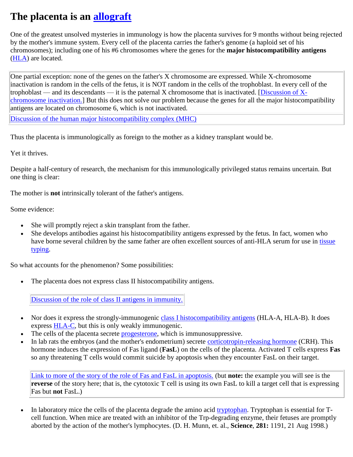## **The placenta is an [allograft](http://users.rcn.com/jkimball.ma.ultranet/BiologyPages/T/Transplants.html)**

One of the greatest unsolved mysteries in immunology is how the placenta survives for 9 months without being rejected by the mother's immune system. Every cell of the placenta carries the father's genome (a haploid set of his chromosomes); including one of his #6 chromosomes where the genes for the **major histocompatibility antigens** [\(HLA\)](http://users.rcn.com/jkimball.ma.ultranet/BiologyPages/T/Transplants.html#typing) are located.

One partial exception: none of the genes on the father's X chromosome are expressed. While X-chromosome inactivation is random in the cells of the fetus, it is NOT random in the cells of the trophoblast. In every cell of the trophoblast — and its descendants — it is the paternal X chromosome that is inactivated. [Discussion of  $X$ [chromosome inactivation.\]](http://users.rcn.com/jkimball.ma.ultranet/BiologyPages/S/SexChromosomes.html#x-inactivation) But this does not solve our problem because the genes for all the major histocompatibility antigens are located on chromosome 6, which is not inactivated.

[Discussion of the human major histocompatibility complex \(MHC\)](http://users.rcn.com/jkimball.ma.ultranet/BiologyPages/T/Transplants.html#typing)

Thus the placenta is immunologically as foreign to the mother as a kidney transplant would be.

Yet it thrives.

Despite a half-century of research, the mechanism for this immunologically privileged status remains uncertain. But one thing is clear:

The mother is **not** intrinsically tolerant of the father's antigens.

Some evidence:

- She will promptly reject a skin transplant from the father.
- She develops antibodies against his histocompatibility antigens expressed by the fetus. In fact, women who have borne several children by the same father are often excellent sources of anti-HLA serum for use in [tissue](http://users.rcn.com/jkimball.ma.ultranet/BiologyPages/T/Transplants.html#typing)  [typing.](http://users.rcn.com/jkimball.ma.ultranet/BiologyPages/T/Transplants.html#typing)

So what accounts for the phenomenon? Some possibilities:

The placenta does not express class II histocompatibility antigens.

[Discussion of the role of class II antigens in immunity.](http://users.rcn.com/jkimball.ma.ultranet/BiologyPages/H/HLA.html#class_II)

- Nor does it express the strongly-immunogenic [class I histocompatibility antigens](http://users.rcn.com/jkimball.ma.ultranet/BiologyPages/H/HLA.html#Class_I_Histocompatibility_Molecules) (HLA-A, HLA-B). It does express [HLA-C,](http://users.rcn.com/jkimball.ma.ultranet/BiologyPages/T/Transplants.html#typing) but this is only weakly immunogenic.
- The cells of the placenta secrete [progesterone,](http://users.rcn.com/jkimball.ma.ultranet/BiologyPages/S/SexHormones.html#progesterone) which is immunosuppressive.
- In lab rats the embryos (and the mother's endometrium) secrete [corticotropin-releasing hormone](http://users.rcn.com/jkimball.ma.ultranet/BiologyPages/H/Hypothalamus.html#CRH) (CRH). This hormone induces the expression of Fas ligand (**FasL**) on the cells of the placenta. Activated T cells express **Fas** so any threatening T cells would commit suicide by apoptosis when they encounter FasL on their target.

[Link to more of the story of the role of Fas and FasL in apoptosis.](http://users.rcn.com/jkimball.ma.ultranet/BiologyPages/A/Apoptosis.html#CTL) (but **note:** the example you will see is the **reverse** of the story here; that is, the cytotoxic T cell is using its own FasL to kill a target cell that is expressing Fas but **not** FasL.)

 In laboratory mice the cells of the placenta degrade the amino acid [tryptophan.](http://users.rcn.com/jkimball.ma.ultranet/BiologyPages/G/Gly_trp.gif) Tryptophan is essential for Tcell function. When mice are treated with an inhibitor of the Trp-degrading enzyme, their fetuses are promptly aborted by the action of the mother's lymphocytes. (D. H. Munn, et. al., **Science**, **281:** 1191, 21 Aug 1998.)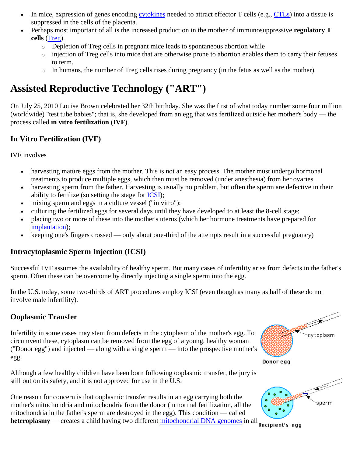- In mice, expression of genes encoding [cytokines](http://users.rcn.com/jkimball.ma.ultranet/BiologyPages/C/C.html#cytokine) needed to attract effector T cells (e.g., [CTLs\)](http://users.rcn.com/jkimball.ma.ultranet/BiologyPages/C/CTL.html) into a tissue is suppressed in the cells of the placenta.
- Perhaps most important of all is the increased production in the mother of immunosuppressive **regulatory T cells** [\(Treg\)](http://users.rcn.com/jkimball.ma.ultranet/BiologyPages/T/Treg.html).
	- $\circ$  Depletion of Treg cells in pregnant mice leads to spontaneous abortion while
	- $\circ$  injection of Treg cells into mice that are otherwise prone to abortion enables them to carry their fetuses to term.
	- o In humans, the number of Treg cells rises during pregnancy (in the fetus as well as the mother).

# **Assisted Reproductive Technology ("ART")**

On July 25, 2010 Louise Brown celebrated her 32th birthday. She was the first of what today number some four million (worldwide) "test tube babies"; that is, she developed from an egg that was fertilized outside her mother's body — the process called **in vitro fertilization** (**IVF**).

### **In Vitro Fertilization (IVF)**

IVF involves

- harvesting mature eggs from the mother. This is not an easy process. The mother must undergo hormonal treatments to produce multiple eggs, which then must be removed (under anesthesia) from her ovaries.
- harvesting sperm from the father. Harvesting is usually no problem, but often the sperm are defective in their ability to fertilize (so setting the stage for [ICSI\)](http://users.rcn.com/jkimball.ma.ultranet/BiologyPages/S/Sexual_Reproduction.html#ICSI);
- mixing sperm and eggs in a culture vessel ("in vitro");
- culturing the fertilized eggs for several days until they have developed to at least the 8-cell stage;
- placing two or more of these into the mother's uterus (which her hormone treatments have prepared for [implantation\)](http://users.rcn.com/jkimball.ma.ultranet/BiologyPages/S/Sexual_Reproduction.html#Pregnancy);
- $\bullet$  keeping one's fingers crossed only about one-third of the attempts result in a successful pregnancy)

#### **Intracytoplasmic Sperm Injection (ICSI)**

Successful IVF assumes the availability of healthy sperm. But many cases of infertility arise from defects in the father's sperm. Often these can be overcome by directly injecting a single sperm into the egg.

In the U.S. today, some two-thirds of ART procedures employ ICSI (even though as many as half of these do not involve male infertility).

### **Ooplasmic Transfer**

Infertility in some cases may stem from defects in the cytoplasm of the mother's egg. To circumvent these, cytoplasm can be removed from the egg of a young, healthy woman ("Donor egg") and injected — along with a single sperm — into the prospective mother's egg.

Although a few healthy children have been born following ooplasmic transfer, the jury is still out on its safety, and it is not approved for use in the U.S.

One reason for concern is that ooplasmic transfer results in an egg carrying both the mother's mitochondria and mitochondria from the donor (in normal fertilization, all the mitochondria in the father's sperm are destroyed in the egg). This condition — called **heteroplasmy** — creates a child having two different [mitochondrial DNA genomes](http://users.rcn.com/jkimball.ma.ultranet/BiologyPages/E/Endosymbiosis.html#The_Mitochondrial_Genome) in all **Recipient's** egg



Donor egg

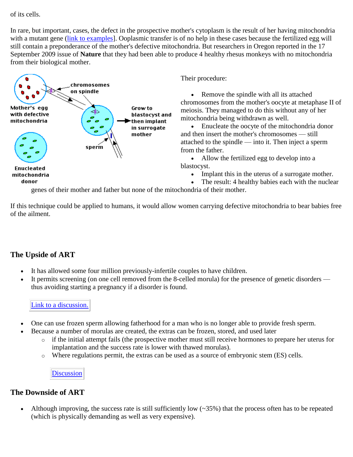of its cells.

In rare, but important, cases, the defect in the prospective mother's cytoplasm is the result of her having mitochondria with a mutant gene (link to examples). Ooplasmic transfer is of no help in these cases because the fertilized egg will still contain a preponderance of the mother's defective mitochondria. But researchers in Oregon reported in the 17 September 2009 issue of **Nature** that they had been able to produce 4 healthy rhesus monkeys with no mitochondria from their biological mother.



Their procedure:

 Remove the spindle with all its attached chromosomes from the mother's oocyte at metaphase II of meiosis. They managed to do this without any of her mitochondria being withdrawn as well.

 Enucleate the oocyte of the mitochondria donor and then insert the mother's chromosomes — still attached to the spindle — into it. Then inject a sperm from the father.

• Allow the fertilized egg to develop into a blastocyst.

- Implant this in the uterus of a surrogate mother.
- The result: 4 healthy babies each with the nuclear

genes of their mother and father but none of the mitochondria of their mother.

If this technique could be applied to humans, it would allow women carrying defective mitochondria to bear babies free of the ailment.

### **The Upside of ART**

- It has allowed some four million previously-infertile couples to have children.
- It permits screening (on one cell removed from the 8-celled morula) for the presence of genetic disorders thus avoiding starting a pregnancy if a disorder is found.

[Link to a discussion.](http://users.rcn.com/jkimball.ma.ultranet/BiologyPages/P/PrenatalScreening.html#Preimplantation_Diagnosis)

- One can use frozen sperm allowing fatherhood for a man who is no longer able to provide fresh sperm.
	- Because a number of morulas are created, the extras can be frozen, stored, and used later
		- o if the initial attempt fails (the prospective mother must still receive hormones to prepare her uterus for implantation and the success rate is lower with thawed morulas).
		- o Where regulations permit, the extras can be used as a source of embryonic stem (ES) cells.

**[Discussion](http://users.rcn.com/jkimball.ma.ultranet/BiologyPages/S/Stem_Cells.html#Pluripotent)** 

#### **The Downside of ART**

• Although improving, the success rate is still sufficiently low  $(\sim 35\%)$  that the process often has to be repeated (which is physically demanding as well as very expensive).